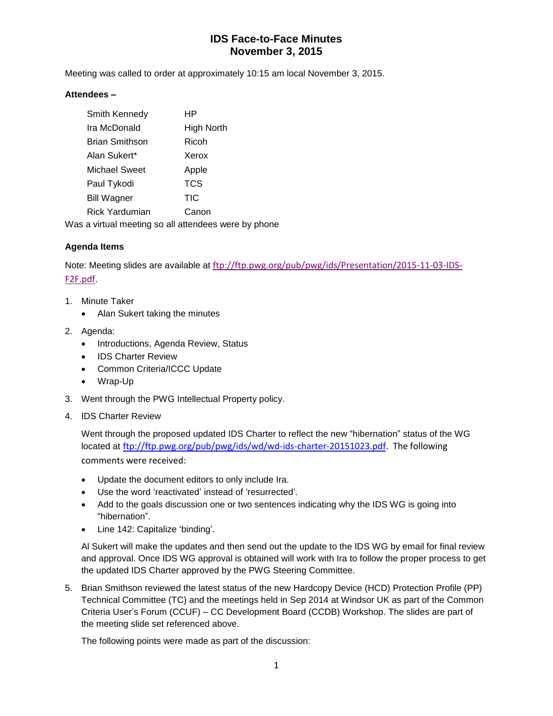## **IDS Face-to-Face Minutes November 3, 2015**

Meeting was called to order at approximately 10:15 am local November 3, 2015.

#### **Attendees –**

|                                                      | Smith Kennedy         | ΗP         |
|------------------------------------------------------|-----------------------|------------|
|                                                      | Ira McDonald          | High North |
|                                                      | <b>Brian Smithson</b> | Ricoh      |
|                                                      | Alan Sukert*          | Xerox      |
|                                                      | <b>Michael Sweet</b>  | Apple      |
|                                                      | Paul Tykodi           | <b>TCS</b> |
|                                                      | Bill Wagner           | <b>TIC</b> |
|                                                      | Rick Yardumian        | Canon      |
| Was a virtual meeting so all attendees were by phone |                       |            |

### **Agenda Items**

Note: Meeting slides are available at [ftp://ftp.pwg.org/pub/pwg/ids/Presentation/2015-11-03-IDS-](ftp://ftp.pwg.org/pub/pwg/ids/Presentation/2015-11-03-IDS-F2F.pdf)[F2F.pdf.](ftp://ftp.pwg.org/pub/pwg/ids/Presentation/2015-11-03-IDS-F2F.pdf)

- 1. Minute Taker
	- Alan Sukert taking the minutes
- 2. Agenda:
	- Introductions, Agenda Review, Status
	- IDS Charter Review
	- Common Criteria/ICCC Update
	- Wrap-Up
- 3. Went through the PWG Intellectual Property policy.
- 4. IDS Charter Review

Went through the proposed updated IDS Charter to reflect the new "hibernation" status of the WG located at [ftp://ftp.pwg.org/pub/pwg/ids/wd/wd-ids-charter-20151023.pdf.](ftp://ftp.pwg.org/pub/pwg/ids/wd/wd-ids-charter-20151023.pdf) The following comments were received:

- Update the document editors to only include Ira.
- Use the word 'reactivated' instead of 'resurrected'.
- Add to the goals discussion one or two sentences indicating why the IDS WG is going into "hibernation".
- Line 142: Capitalize 'binding'.

Al Sukert will make the updates and then send out the update to the IDS WG by email for final review and approval. Once IDS WG approval is obtained will work with Ira to follow the proper process to get the updated IDS Charter approved by the PWG Steering Committee.

5. Brian Smithson reviewed the latest status of the new Hardcopy Device (HCD) Protection Profile (PP) Technical Committee (TC) and the meetings held in Sep 2014 at Windsor UK as part of the Common Criteria User's Forum (CCUF) – CC Development Board (CCDB) Workshop. The slides are part of the meeting slide set referenced above.

The following points were made as part of the discussion: